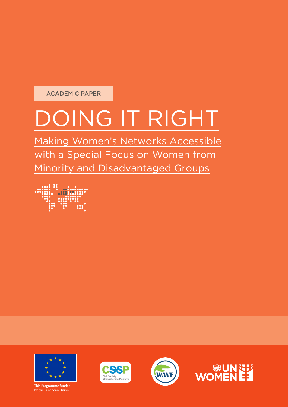ACADEMIC PAPER

# DOING IT RIGHT

Making Women's Networks Accessible with a Special Focus on Women from Minority and Disadvantaged Groups





This Programme funded by the European Union





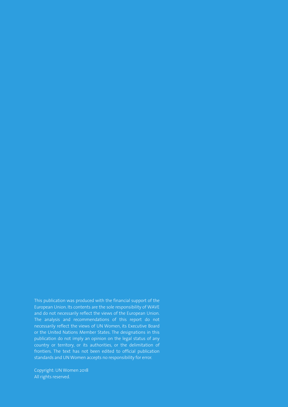This publication was produced with the financial support of the European Union. Its contents are the sole responsibility of WAVE and do not necessarily reflect the views of the European Union. The analysis and recommendations of this report do not necessarily reflect the views of UN Women, its Executive Board or the United Nations Member States. The designations in this publication do not imply an opinion on the legal status of any country or territory, or its authorities, or the delimitation of frontiers. The text has not been edited to official publication standards and UN Women accepts no responsibility for error.

Copyright: UN Women 2018 All rights reserved.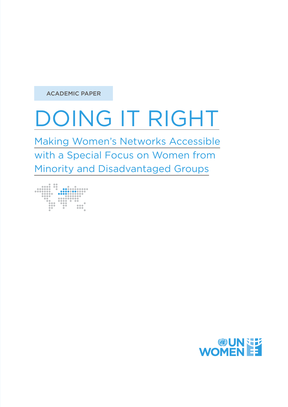ACADEMIC PAPER

# DOING IT RIGHT

Making Women's Networks Accessible with a Special Focus on Women from Minority and Disadvantaged Groups



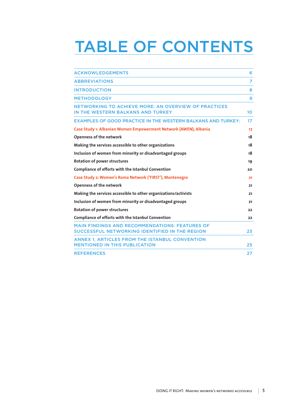## TABLE OF CONTENTS

| <b>ACKNOWLEDGEMENTS</b>                                                                                 | 6  |
|---------------------------------------------------------------------------------------------------------|----|
| <b>ABBREVIATIONS</b>                                                                                    | 7  |
| <b>INTRODUCTION</b>                                                                                     | 8  |
| <b>METHODOLOGY</b>                                                                                      | 9  |
| <b>NETWORKING TO ACHIEVE MORE: AN OVERVIEW OF PRACTICES</b><br>IN THE WESTERN BALKANS AND TURKEY        | 10 |
| <b>EXAMPLES OF GOOD PRACTICE IN THE WESTERN BALKANS AND TURKEY:</b>                                     | 17 |
| Case Study 1: Albanian Women Empowerment Network (AWEN), Albania                                        | 17 |
| <b>Openness of the network</b>                                                                          | 18 |
| Making the services accessible to other organizations                                                   | 18 |
| Inclusion of women from minority or disadvantaged groups                                                | 18 |
| <b>Rotation of power structures</b>                                                                     | 19 |
| Compliance of efforts with the Istanbul Convention                                                      | 20 |
| Case Study 2: Women's Roma Network ('FIRST'), Montenegro                                                | 21 |
| <b>Openness of the network</b>                                                                          | 21 |
| Making the services accessible to other organizations/activists                                         | 21 |
| Inclusion of women from minority or disadvantaged groups                                                | 21 |
| Rotation of power structures                                                                            | 22 |
| Compliance of efforts with the Istanbul Convention                                                      | 22 |
| <b>MAIN FINDINGS AND RECOMMENDATIONS: FEATURES OF</b><br>SUCCESSFUL NETWORKING IDENTIFIED IN THE REGION | 23 |
| <b>ANNEX 1. ARTICLES FROM THE ISTANBUL CONVENTION</b><br><b>MENTIONED IN THIS PUBLICATION</b>           | 25 |
| <b>REFERENCES</b>                                                                                       | 27 |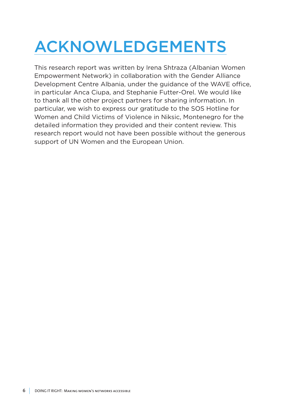## ACKNOWLEDGEMENTS

This research report was written by Irena Shtraza (Albanian Women Empowerment Network) in collaboration with the Gender Alliance Development Centre Albania, under the guidance of the WAVE office, in particular Anca Ciupa, and Stephanie Futter-Orel. We would like to thank all the other project partners for sharing information. In particular, we wish to express our gratitude to the SOS Hotline for Women and Child Victims of Violence in Niksic, Montenegro for the detailed information they provided and their content review. This research report would not have been possible without the generous support of UN Women and the European Union.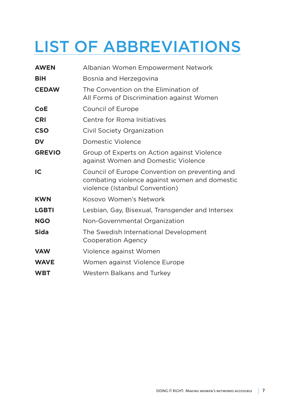## LIST OF ABBREVIATIONS

| <b>AWEN</b>   | Albanian Women Empowerment Network                                                                                                |
|---------------|-----------------------------------------------------------------------------------------------------------------------------------|
| <b>BiH</b>    | Bosnia and Herzegovina                                                                                                            |
| <b>CEDAW</b>  | The Convention on the Elimination of<br>All Forms of Discrimination against Women                                                 |
| <b>CoE</b>    | <b>Council of Europe</b>                                                                                                          |
| <b>CRI</b>    | Centre for Roma Initiatives                                                                                                       |
| <b>CSO</b>    | Civil Society Organization                                                                                                        |
| <b>DV</b>     | Domestic Violence                                                                                                                 |
| <b>GREVIO</b> | Group of Experts on Action against Violence<br>against Women and Domestic Violence                                                |
| IC            | Council of Europe Convention on preventing and<br>combating violence against women and domestic<br>violence (Istanbul Convention) |
| <b>KWN</b>    | Kosovo Women's Network                                                                                                            |
| <b>LGBTI</b>  | Lesbian, Gay, Bisexual, Transgender and Intersex                                                                                  |
| <b>NGO</b>    | Non-Governmental Organization                                                                                                     |
| <b>Sida</b>   | The Swedish International Development<br>Cooperation Agency                                                                       |
| <b>VAW</b>    | Violence against Women                                                                                                            |
| <b>WAVE</b>   | Women against Violence Europe                                                                                                     |
| <b>WBT</b>    | <b>Western Balkans and Turkey</b>                                                                                                 |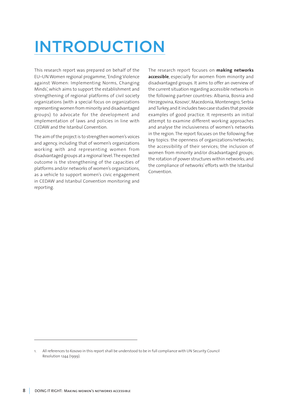## INTRODUCTION

This research report was prepared on behalf of the EU–UN Women regional progamme, 'Ending Violence against Women: Implementing Norms, Changing Minds', which aims to support the establishment and strengthening of regional platforms of civil society organizations (with a special focus on organizations representing women from minority and disadvantaged groups) to advocate for the development and implementation of laws and policies in line with CEDAW and the Istanbul Convention.

The aim of the project is to strengthen women's voices and agency, including that of women's organizations working with and representing women from disadvantaged groups at a regional level. The expected outcome is the strengthening of the capacities of platforms and/or networks of women's organizations, as a vehicle to support women's civic engagement in CEDAW and Istanbul Convention monitoring and reporting.

The research report focuses on **making networks accessible**, especially for women from minority and disadvantaged groups. It aims to offer an overview of the current situation regarding accessible networks in the following partner countries: Albania, Bosnia and Herzegovina, Kosovo<sup>,</sup>, Macedonia, Montenegro, Serbia and Turkey, and it includes two case studies that provide examples of good practice. It represents an initial attempt to examine different working approaches and analyse the inclusiveness of women's networks in the region. The report focuses on the following five key topics: the openness of organizations/networks; the accessibility of their services; the inclusion of women from minority and/or disadvantaged groups; the rotation of power structures within networks; and the compliance of networks' efforts with the Istanbul Convention.

<sup>1.</sup> All references to Kosovo in this report shall be understood to be in full compliance with UN Security Council Resolution 1244 (1999).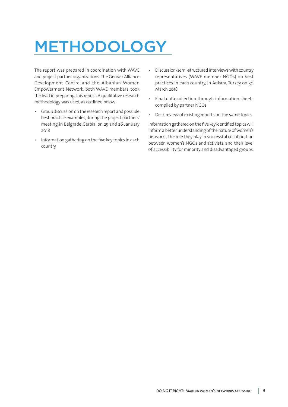## METHODOLOGY

The report was prepared in coordination with WAVE and project partner organizations. The Gender Alliance Development Centre and the Albanian Women Empowerment Network, both WAVE members, took the lead in preparing this report. A qualitative research methodology was used, as outlined below:

- Group discussion on the research report and possible best practice examples, during the project partners' meeting in Belgrade, Serbia, on 25 and 26 January 2018
- Information gathering on the five key topics in each country
- Discussion/semi-structured interviews with country representatives (WAVE member NGOs) on best practices in each country, in Ankara, Turkey on 30 March 2018
- Final data-collection through information sheets compiled by partner NGOs
- Desk review of existing reports on the same topics

Information gathered on the five key identified topics will inform a better understanding of the nature of women's networks, the role they play in successful collaboration between women's NGOs and activists, and their level of accessibility for minority and disadvantaged groups.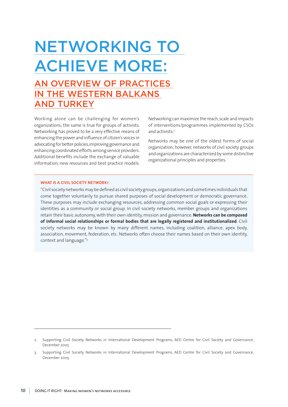## NETWORKING TO ACHIEVE MORE:

### AN OVERVIEW OF PRACTICES IN THE WESTERN BALKANS AND TURKEY

Working alone can be challenging for women's organizations; the same is true for groups of activists. Networking has proved to be a very effective means of enhancing the power and influence of citizen's voices in advocating for better policies, improving governance and enhancing coordinated efforts among service providers. Additional benefits include the exchange of valuable information, new resources and best practice models.

Networking can maximize the reach, scale and impacts of interventions/programmes implemented by CSOs and activists.2

Networks may be one of the oldest forms of social organization; however, networks of civil society groups and organizations are characterized by some distinctive organizational principles and properties.

#### **WHAT IS A CIVIL SOCIETY NETWORK?**

"Civil society networks may be defined as civil society groups, organizations and sometimes individuals that come together voluntarily to pursue shared purposes of social development or democratic governance. These purposes may include exchanging resources, addressing common social goals or expressing their identities as a community or social group. In civil society networks, member groups and organizations retain their basic autonomy, with their own identity, mission and governance. **Networks can be composed of informal social relationships or formal bodies that are legally registered and institutionalized**. Civil society networks may be known by many different names, including coalition, alliance, apex body, association, movement, federation, etc. Networks often choose their names based on their own identity, context and language."3

<sup>2.</sup> Supporting Civil Society Networks in International Development Programs, AED Centre for Civil Society and Governance, December 2005

<sup>3.</sup> Supporting Civil Society Networks in International Development Programs, AED Centre for Civil Society and Governance, December 2005.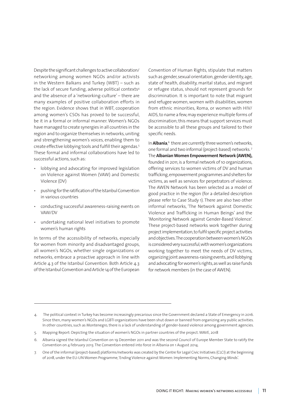Despite the significant challenges to active collaboration/ networking among women NGOs and/or activists in the Western Balkans and Turkey (WBT) – such as the lack of secure funding, adverse political contexts<sup>4</sup> and the absence of a 'networking-culture' – there are many examples of positive collaboration efforts in the region. Evidence shows that in WBT, cooperation among women's CSOs has proved to be successful, be it in a formal or informal manner. Women's NGOs have managed to create synergies in all countries in the region and to organize themselves in networks, uniting and strengthening women's voices, enabling them to create effective lobbying tools and fulfill their agendas.5 These formal and informal collaborations have led to successful actions, such as:

- lobbying and advocating for improved legislation on Violence against Women (VAW) and Domestic Violence (DV)
- pushing for the ratification of the Istanbul Convention in various countries
- conducting successful awareness-raising events on VAW/DV
- undertaking national level initiatives to promote women's human rights

In terms of the accessibility of networks, especially for women from minority and disadvantaged groups, all women's NGOs, whether single organizations or networks, embrace a proactive approach in line with Article 4.3 of the Istanbul Convention. Both Article 4.3 of the Istanbul Convention and Article 14 of the European

Convention of Human Rights, stipulate that matters such as gender, sexual orientation, gender identity, age, state of health, disability, marital status, and migrant or refugee status, should not represent grounds for discrimination. It is important to note that migrant and refugee women, women with disabilities, women from ethnic minorities, Roma, or women with HIV/ AIDS, to name a few, may experience multiple forms of discrimination; this means that support services must be accessible to all these groups and tailored to their specific needs.

In **Albania**,<sup>6</sup> there are currently three women's networks, one formal and two informal (project-based) networks. 7 The **Albanian Women Empowerment Network (AWEN),**  founded in 2011, is a formal network of 10 organizations, offering services to women victims of DV and human trafficking, empowerment programmes and shelters for victims, as well as services for perpetrators of violence. The AWEN Network has been selected as a model of good practice in the region (for a detailed description please refer to Case Study 1). There are also two other informal networks, 'The Network against Domestic Violence and Trafficking in Human Beings' and the 'Monitoring Network against Gender-Based Violence'. These project-based networks work together during project implementation, to fulfil specific project activities and objectives. The cooperation between women's NGOs is considered very successful, with women's organizations working together to meet the needs of DV victims, organizing joint awareness-raising events, and llobbying and advocating for women's rights, as well as raise funds for network members (in the case of AWEN).

- 6. Albania signed the Istanbul Convention on 19 December 2011 and was the second Council of Europe Member State to ratify the Convention on 4 February 2013. The Convention entered into force in Albania on 1 August 2014.
- 7. One of the informal (project-based) platforms/networks was created by the Centre for Legal Civic Initiatives (CLCI) at the beginning of 2018, under the EU-UN Women Programme, 'Ending Violence against Women: Implementing Norms, Changing Minds'.

<sup>4.</sup> The political context in Turkey has become increasingly precarious since the Government declared a State of Emergency in 2016. Since then, many women's NGOs and LGBTI organizations have been shut down or banned from organizing any public activities. In other countries, such as Montenegro, there is a lack of understanding of gender-based violence among government agencies.

<sup>5.</sup> Mapping Report: Depicting the situation of women's NGOs in partner countries of the project. WAVE, 2018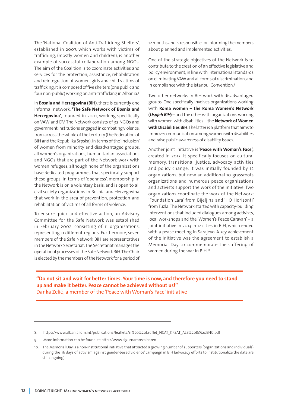The 'National Coalition of Anti-Trafficking Shelters', established in 2007, which works with victims of trafficking, (mostly women and children), is another example of successful collaboration among NGOs. The aim of the Coalition is to coordinate activities and services for the protection, assistance, rehabilitation and reintegration of women, girls and child victims of trafficking. It is composed of five shelters (one public and four non-public) working on anti-trafficking in Albania.8

In **Bosnia and Herzegovina (BiH)**, there is currently one informal network, **'The Safe Network of Bosnia and Herzegovina'**, founded in 2001, working specifically on VAW and DV. The Network consists of 32 NGOs and government institutions engaged in combating violence, from across the whole of the territory (the Federation of BiH and the Republika Srpska). In terms of the 'inclusion' of women from minority and disadvantaged groups, all women's organizations, humanitarian associations and NGOs that are part of the Network work with women refugees, although none of the organizations have dedicated programmes that specifically support these groups. In terms of 'openness', membership in the Network is on a voluntary basis, and is open to all civil society organizations in Bosnia and Herzegovina that work in the area of prevention, protection and rehabilitation of victims of all forms of violence.

To ensure quick and effective action, an Advisory Committee for the Safe Network was established in February 2002, consisting of 11 organizations, representing 11 different regions. Furthermore, seven members of the Safe Network BiH are representatives in the Network Secretariat. The Secretariat manages the operational processes of the Safe Network BiH. The Chair is elected by the members of the Network for a period of 12 months and is responsible for informing the members about planned and implemented activities.

One of the strategic objectives of the Network is to contribute to the creation of an effective legislative and policy environment, in line with international standards on eliminating VAW and all forms of discrimination, and in compliance with the Istanbul Convention.9

Two other networks in BiH work with disadvantaged groups. One specifically involves organizations working with **Roma women – the Roma Women's Network (Uspjeh BiH)** – and the other with organizations working with women with disabilities – the **Network of Women with Disabilities BiH**. The latter is a platform that aims to improve communication among women with disabilities and raise public awareness of disability issues.

Another joint initiative is '**Peace with Woman's Face',** created in 2013. It specifically focuses on cultural memory, transitional justice, advocacy activities and policy change. It was initially founded by 12 organizations, but now an additional 10 grassroots organizations and numerous peace organizations and activists support the work of the initiative. Two organizations coordinate the work of the Network: 'Foundation Lara' from Bijeljina and 'HO Horizonti' from Tuzla. The Network started with capacity-building interventions that included dialogues among activists, local workshops and the 'Women's Peace Caravan' – a joint initiative in 2013 in 12 cities in BiH, which ended with a peace meeting in Sarajevo. A key achievement of the initiative was the agreement to establish a Memorial Day to commemorate the suffering of women during the war in BiH.10

**"Do not sit and wait for better times. Your time is now, and therefore you need to stand up and make it better. Peace cannot be achieved without us!"** Danka Zelić, a member of the 'Peace with Woman's Face' initiative

<sup>8.</sup> https://www.albania.iom.int/publications/leaflets/11%20%20Leaflet\_NCAT\_KKSAT\_ALB%20&%20ENG.pdf

<sup>9.</sup> More information can be found at: http://www.sigurnamreza.ba/en

<sup>10.</sup> The Memorial Day is a non-institutional initiative that attracted a growing number of supporters (organizations and individuals) during the '16 days of activism against gender-based violence' campaign in BiH (advocacy efforts to institutionalize the date are still ongoing).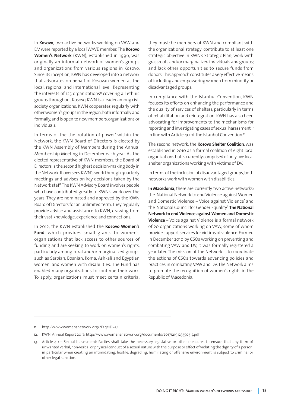In **Kosovo**, two active networks working on VAW and DV were reported by a local WAVE member. The **Kosovo Women's Network** (KWN), established in 1996, was originally an informal network of women's groups and organizations from various regions in Kosovo. Since its inception, KWN has developed into a network that advocates on behalf of Kosovan women at the local, regional and international level. Representing the interests of 125 organizations<sup>11</sup> covering all ethnic groups throughout Kosovo, KWN is a leader among civil society organizations. KWN cooperates regularly with other women's groups in the region, both informally and formally, and is open to new members, organizations or individuals.

In terms of the the 'rotation of power' within the Network, the KWN Board of Directors is elected by the KWN Assembly of Members during the Annual Membership Meeting in December each year. As the elected representative of KWN members, the Board of Directors is the second highest decision-making body in the Network. It oversees KWN's work through quarterly meetings and advises on key decisions taken by the Network staff. The KWN Advisory Board involves people who have contributed greatly to KWN's work over the years. They are nominated and approved by the KWN Board of Directors for an unlimited term. They regularly provide advice and assistance to KWN, drawing from their vast knowledge, experience and connections.

In 2012, the KWN established the **Kosovo Women's Fund**, which provides small grants to women's organizations that lack access to other sources of funding and are seeking to work on women's rights, particularly among rural and/or marginalized groups such as Serbian, Bosnian, Roma, Ashkali and Egyptian women, and women with disabilities. The Fund has enabled many organizations to continue their work. To apply, organizations must meet certain criteria;

they must: be members of KWN and compliant with the organizational strategy; contribute to at least one strategic objective in KWN's Strategic Plan; work with grassroots and/or marginalized individuals and groups; and lack other opportunities to secure funds from donors. This approach constitutes a very effective means of including and empowering women from minority or disadvantaged groups.

In compliance with the Istanbul Convention, KWN focuses its efforts on enhancing the performance and the quality of services of shelters, particularly in terms of rehabilitation and reintegration. KWN has also been advocating for improvements to the mechanisms for reporting and investigating cases of sexual harassment,<sup>12</sup> in line with Article 40 of the Istanbul Convention.<sup>13</sup>

The second network, the **Kosovo Shelter Coalition**, was established in 2010 as a formal coalition of eight local organizations but is currently comprised of only five local shelter organizations working with victims of DV.

In terms of the inclusion of disadvantaged groups, both networks work with women with disabilities.

**In Macedonia**, there are currently two active networks: the 'National Network to end Violence against Women and Domestic Violence – Voice against Violence' and the 'National Council for Gender Equality'. **The National Network to end Violence against Women and Domestic Violence** – Voice against Violence is a formal network of 20 organizations working on VAW, some of whom provide support services for victims of violence. Formed in December 2010 by CSOs working on preventing and combating VAW and DV, it was formally registered a year later. The mission of the Network is to coordinate the actions of CSOs towards advancing policies and practices in combating VAW and DV. The Network aims to promote the recognition of women's rights in the Republic of Macedonia.

<sup>11.</sup> http://www.womensnetwork.org/?FaqeID=34

<sup>12.</sup> KWN, Annual Report 2017: http://www.womensnetwork.org/documents/20171219123350317.pdf

<sup>13.</sup> Article 40 – Sexual harassment: Parties shall take the necessary legislative or other measures to ensure that any form of unwanted verbal, non-verbal or physical conduct of a sexual nature with the purpose or effect of violating the dignity of a person, in particular when creating an intimidating, hostile, degrading, humiliating or offensive environment, is subject to criminal or other legal sanction.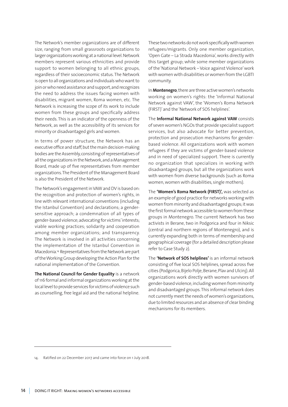The Network's member organizations are of different size, ranging from small grassroots organizations to larger organizations working at a national level. Network members represent various ethnicities and provide support to women belonging to all ethnic groups, regardless of their socioeconomic status. The Network is open to all organizations and individuals who want to join or who need assistance and support, and recognizes the need to address the issues facing women with disabilities, migrant women, Roma women, etc. The Network is increasing the scope of its work to include women from these groups and specifically address their needs. This is an indicator of the openness of the Network, as well as the accessibility of its services for minority or disadvantaged girls and women.

In terms of power structure, the Network has an executive office and staff, but the main decision-making bodies are the Assembly, consisting of representatives of all the organizations in the Network, and a Management Board, made up of five representatives from member organizations. The President of the Management Board is also the President of the Network.

The Network's engagement in VAW and DV is based on: the recognition and protection of women's rights, in line with relevant international conventions (including the Istanbul Convention) and declarations; a gendersensitive approach; a condemnation of all types of gender-based violence; advocating for victims' interests; viable working practices; solidarity and cooperation among member organizations; and transparency. The Network is involved in all activities concerning the implementation of the Istanbul Convention in Macedonia.14 Representatives from the Network are part of the Working Group developing the Action Plan for the national implementation of the Convention.

**The National Council for Gender Equality** is a network of 116 formal and informal organizations working at the local level to provide services for victims of violence such as counselling, free legal aid and the national helpline.

These two networks do not work specifically with women refugees/migrants. Only one member organization, 'Open Gate – La Strada Macedonia', works directly with this target group; while some member organizations of the 'National Network – Voice against Violence' work with women with disabilities or women from the LGBTI community.

In **Montenegro**, there are three active women's networks working on women's rights: the 'Informal National Network against VAW', the 'Women's Roma Network (FIRST)' and the 'Network of SOS helplines'.

The **Informal National Network against VAW** consists of seven women's NGOs that provide specialist support services, but also advocate for better prevention, protection and prosecution mechanisms for genderbased violence. All organizations work with women refugees if they are victims of gender-based violence and in need of specialized support. There is currently no organization that specializes in working with disadvantaged groups, but all the organizations work with women from diverse backgrounds (such as Roma women, women with disabilities, single mothers).

The **'Women's Roma Network (FIRST)',** was selected as an example of good practice for networks working with women from minority and disadvantaged groups; it was the first formal network accessible to women from these groups in Montenegro. The current Network has two activists in Berane, two in Podgorica and four in Niksic (central and northern regions of Montenegro), and is currently expanding both in terms of membership and geographical coverage (for a detailed description please refer to Case Study 2).

The **'Network of SOS helplines'** is an informal network consisting of five local SOS helplines, spread across five cities (Podgorica, Bijelo Polje, Berane, Plav and Ulcinj). All organizations work directly with women survivors of gender-based violence, including women from minority and disadvantaged groups. This informal network does not currently meet the needs of women's organizations, due to limited resources and an absence of clear binding mechanisms for its members.

14. Ratified on 22 December 2017 and came into force on 1 July 2018.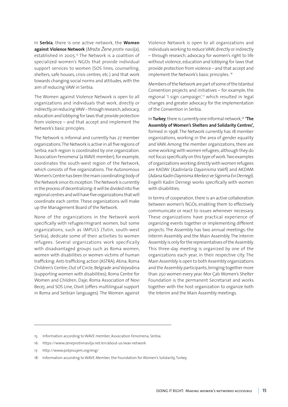In **Serbia**, there is one active network, the **Women against Violence Network** (Mreža Žene protiv nasilja), established in 2005.<sup>15</sup> The Network is a coalition of specialized women's NGOs that provide individual support services to women (SOS lines, counselling, shelters, safe houses, crisis centres, etc.) and that work towards changing social norms and attitudes, with the aim of reducing VAW in Serbia.

The Women against Violence Network is open to all organizations and individuals that work, directly or indirectly, on reducing VAW – through research, advocacy, education and lobbying for laws that provide protection from violence – and that accept and implement the Network's basic principles.

The Network is informal and currently has 27 member organizations. The Network is active in all five regions of Serbia; each region is coordinated by one organization. 'Association Fenomena' (a WAVE member), for example, coordinates the south-west region of the Network, which consists of five organizations. The Autonomous Women's Centre has been the main coordinating body of the Network since its inception. The Network is currently in the process of decentralizing: it will be divided into five regional centres and will have five organizations that will coordinate each centre. These organizations will make up the Management Board of the Network.

None of the organizations in the Network work specifically with refugee/migrant women, but some organizations, such as IMPULS (Tutin, south-west Serbia), dedicate some of their activities to women refugees. Several organizations work specifically with disadvantaged groups such as Roma women, women with disabilities or women victims of human trafficking: Anti-trafficking action (ASTRA); Atina; Roma Children's Centre; Out of Circle, Belgrade and Vojvodina (supporting women with disabilities); Roma Centre for Women and Children, Daje; Roma Association of Novi Becej; and SOS Line, Osvit (offers multilingual support in Roma and Serbian languages). The Women against

Violence Network is open to all organizations and individuals working to reduce VAW, directly or indirectly – through research, advocacy for women's right to life without violence, education and lobbying for laws that provide protection from violence – and that accept and implement the Network's basic principles.<sup>16</sup>

Members of the Network are part of some of the Istanbul Convention projects and initiatives – for example, the regional 'I sign campaign',<sup>17</sup> which resulted in legal changes and greater advocacy for the implementation of the Convention in Serbia.

In Turkey, there is currently one informal network,<sup>18</sup> 'The **Assembly of Women's Shelters and Solidarity Centres',**  formed in 1998. The Network currently has 18 member organizations, working in the area of gender equality and VAW. Among the member organizations, there are some working with women refugees; although they do not focus specifically on this type of work. Two examples of organizations working directly with women refugees are KADAV (Kadinlarla Dayanisma Vakfi) and AKDAM (Adana Kadin Daynisma Merkezi ve Siginma Evi Dernegi). Engelli Kadin Dernegi works specifically with women with disabilities.

In terms of cooperation, there is an active collaboration between women's NGOs, enabling them to effectively communicate or react to issues whenever necessary. These organizations have practical experience of organizing events together or implementing different projects. The Assembly has two annual meetings: the Interim Assembly and the Main Assembly. The Interim Assembly is only for the representatives of the Assembly. This three-day meeting is organized by one of the organizations each year, in their respective city. The Main Assembly is open to both Assembly organizations and the Assembly participants, bringing together more than 250 women every year. Mor Çatı Women's Shelter Foundation is the permanent Secretariat and works together with the host organization to organize both the Interim and the Main Assembly meetings.

- 16. https://www.zeneprotivnasilja.net/en/about-us/wav-network
- 17. http://www.potpisujem.org/eng/

<sup>15.</sup> Information according to WAVE member, Association Fenomena, Serbia.

<sup>18.</sup> Information according to WAVE Member, the Foundation for Women's Solidarity, Turkey.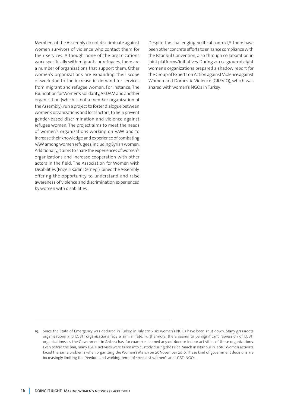Members of the Assembly do not discriminate against women survivors of violence who contact them for their services. Although none of the organizations work specifically with migrants or refugees, there are a number of organizations that support them. Other women's organizations are expanding their scope of work due to the increase in demand for services from migrant and refugee women. For instance, The Foundation for Women's Solidarity, AKDAM and another organization (which is not a member organization of the Assembly), run a project to foster dialogue between women's organizations and local actors, to help prevent gender-based discrimination and violence against refugee women. The project aims to meet the needs of women's organizations working on VAW and to increase their knowledge and experience of combating VAW among women refugees, including Syrian women. Additionally, it aims to share the experiences of women's organizations and increase cooperation with other actors in the field. The Association for Women with Disabilities (Engelli Kadin Dernegi) joined the Assembly, offering the opportunity to understand and raise awareness of violence and discrimination experienced by women with disabilities.

Despite the challenging political context,<sup>19</sup> there have been other concrete efforts to enhance compliance with the Istanbul Convention, also through collaboration in joint platforms/initiatives. During 2017, a group of eight women's organizations prepared a shadow report for the Group of Experts on Action against Violence against Women and Domestic Violence (GREVIO), which was shared with women's NGOs in Turkey.

<sup>19.</sup> Since the State of Emergency was declared in Turkey, in July 2016, six women's NGOs have been shut down. Many grassroots organizations and LGBTI organizations face a similar fate. Furthermore, there seems to be significant repression of LGBTI organizations, as the Government in Ankara has, for example, banned any outdoor or indoor activities of these organizations. Even before the ban, many LGBTI activists were taken into custody during the Pride March in Istanbul in 2016. Women activists faced the same problems when organizing the Women's March on 25 November 2016. These kind of government decisions are increasingly limiting the freedom and working-remit of specialist women's and LGBTI NGOs.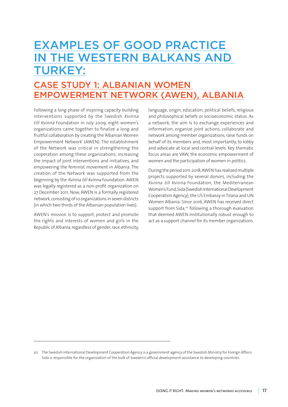### EXAMPLES OF GOOD PRACTICE IN THE WESTERN BALKANS AND TURKEY:

### CASE STUDY 1: ALBANIAN WOMEN EMPOWERMENT NETWORK (AWEN), ALBANIA

Following a long phase of inspiring capacity-building interventions supported by the Swedish Kvinna till Kvinna Foundation in July 2009, eight women's organizations came together to finalize a long and fruitful collaboration by creating the 'Albanian Women Empowerment Network' (AWEN). The establishment of the Network was critical in strengthening the cooperation among these organizations, increasing the impact of joint interventions and initiatives, and empowering the feminist movement in Albania. The creation of the Network was supported from the beginning by the Kvinna till Kvinna Foundation. AWEN was legally registered as a non-profit organization on 27 December 2011. Now, AWEN is a formally registered network, consisting of 10 organizations in seven districts (in which two thirds of the Albanian population lives).

AWEN's mission is to support, protect and promote the rights and interests of women and girls in the Republic of Albania, regardless of gender, race, ethnicity,

language, origin, education, political beliefs, religious and philosophical beliefs or socioeconomic status. As a network, the aim is to exchange experiences and information, organize joint actions, collaborate and network among member organizations, raise funds on behalf of its members and, most importantly, to lobby and advocate at local and central levels. Key thematic focus areas are VAW, the economic empowerment of women and the participation of women in politics.

During the period 2011-2018, AWEN has realized multiple projects supported by several donors, including the Kvinna till Kvinna Foundation, the Mediterranean Women's Fund, Sida (Swedish International Development Cooperation Agency), the US Embassy in Tirana and UN Women Albania. Since 2016, AWEN has received direct support from Sida,<sup>20</sup> following a thorough evaluation that deemed AWEN institutionally robust enough to act as a support channel for its member organizations.

<sup>20.</sup> The Swedish International Development Cooperation Agency is a government agency of the Swedish Ministry for Foreign Affairs. Sida is responsible for the organization of the bulk of Sweden's official development assistance to developing countries.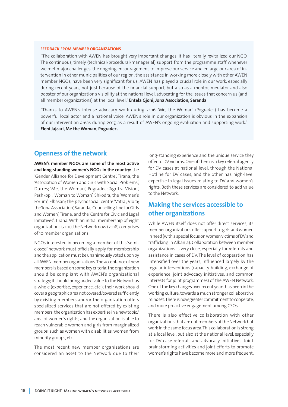#### **FEEDBACK FROM MEMBER ORGANIZATIONS**

"The collaboration with AWEN has brought very important changes. It has literally revitalized our NGO. The continuous, timely (technical/procedural/managerial) support from the programme staff whenever we met major challenges, the ongoing encouragement to improve our service and enlarge our area of intervention in other municipalities of our region, the assistance in working more closely with other AWEN member NGOs, have been very significant for us. AWEN has played a crucial role in our work, especially during recent years, not just because of the financial support, but also as a mentor, mediator and also booster of our organization's visibility at the national level, advocating for the issues that concern us (and all member organizations) at the local level." **Entela Gjoni, Jona Association, Saranda**

"Thanks to AWEN's intense advocacy work during 2016, 'Me, the Woman' (Pogradec) has become a powerful local actor and a national voice. AWEN's role in our organization is obvious in the expansion of our intervention areas during 2017, as a result of AWEN's ongoing evaluation and supporting work." **Eleni Jajcari, Me the Woman, Pogradec.** 

#### **Openness of the network**

**AWEN's member NGOs are some of the most active and long-standing women's NGOs in the country:** the 'Gender Alliance for Development Centre', Tirana; the 'Association of Women and Girls with Social Problems', Durres; 'Me, the Woman', Pogradec; 'Agritra Vision', Peshkopi; 'Woman to Woman', Shkodra; the 'Women's Forum', Elbasan; the psychosocial centre 'Vatra', Vlora; the 'Jona Association', Saranda; 'Counselling Line for Girls and Women', Tirana; and the 'Centre for Civic and Legal Initiatives', Tirana. With an initial membership of eight organizations (2011), the Network now (2018) comprises of 10 member organizations.

NGOs interested in becoming a member of this 'semiclosed' network must officially apply for membership and the application must be unanimously voted upon by all AWEN member organizations. The acceptance of new members is based on some key criteria: the organization should be compliant with AWEN's organizational strategy; it should bring added value to the Network as a whole (expertise, experience, etc.); their work should cover a geographic area not covered/covered sufficiently by existing members and/or the organization offers specialized services that are not offered by existing members; the organization has expertise in a new topic/ area of women's rights; and the organization is able to reach vulnerable women and girls from marginalized groups, such as women with disabilities, women from minority groups, etc.

The most recent new member organizations are considered an asset to the Network due to their

long-standing experience and the unique service they offer to DV victims. One of them is a key referral agency for DV cases at national level, through the National Hotline for DV cases, and the other has high-level expertise in legal issues relating to DV and women's rights. Both these services are considered to add value to the Network.

#### **Making the services accessible to other organizations**

While AWEN itself does not offer direct services, its member organizations offer support to girls and women in need (with a special focus on women victims of DV and trafficking in Albania). Collaboration between member organizations is very close, especially for referrals and assistance in cases of DV. The level of cooperation has intensified over the years, influenced largely by the regular interventions (capacity-building, exchange of experience, joint advocacy initiatives, and common interests for joint programmes) of the AWEN Network. One of the key changes over recent years has been in the working culture, towards a much stronger collaborative mindset. There is now greater commitment to cooperate, and more proactive engagement among CSOs.

There is also effective collaboration with other organizations that are not members of the Network but work in the same focus area. This collaboration is strong at a local level, but also at the national level, especially for DV case referrals and advocacy initiatives. Joint brainstorming activities and joint efforts to promote women's rights have become more and more frequent.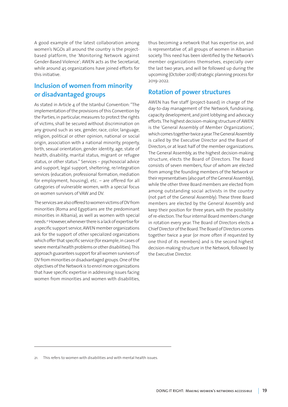A good example of the latest collaboration among women's NGOs all around the country is the projectbased platform, the 'Monitoring Network against Gender-Based Violence'; AWEN acts as the Secretariat, while around 45 organizations have joined efforts for this initiative.

#### **Inclusion of women from minority or disadvantaged groups**

As stated in Article 4 of the Istanbul Convention: "The implementation of the provisions of this Convention by the Parties, in particular, measures to protect the rights of victims, shall be secured without discrimination on any ground such as sex, gender, race, color, language, religion, political or other opinion, national or social origin, association with a national minority, property, birth, sexual orientation, gender identity, age, state of health, disability, marital status, migrant or refugee status, or other status.'' Services – psychosocial advice and support, legal support, sheltering, re/integration services (education, professional formation, mediation for employment, housing), etc. – are offered for all categories of vulnerable women, with a special focus on women survivors of VAW and DV.

The services are also offered to women victims of DV from minorities (Roma and Egyptians are the predominant minorities in Albania), as well as women with special needs.21 However, whenever there is a lack of expertise for a specific support service, AWEN member organizations ask for the support of other specialized organizations which offer that specific service (for example, in cases of severe mental health problems or other disabilities). This approach guarantees support for all women survivors of DV from minorities or disadvantaged groups. One of the objectives of the Network is to enrol more organizations that have specific expertise in addressing issues facing women from minorities and women with disabilities, thus becoming a network that has expertise on, and is representative of, all groups of women in Albanian society. This need has been identified by the Network's member organizations themselves, especially over the last two years, and will be followed up during the upcoming (October 2018) strategic planning process for 2019-2022.

#### **Rotation of power structures**

AWEN has five staff (project-based) in charge of the day-to-day management of the Network, fundraising, capacity development, and joint lobbying and advocacy efforts. The highest decision-making structure of AWEN is the 'General Assembly of Member Organizations', which comes together twice a year. The General Assembly is called by the Executive Director and the Board of Directors, or at least half of the member organizations. The General Assembly, as the highest decision-making structure, elects the Board of Directors. The Board consists of seven members, four of whom are elected from among the founding members of the Network or their representatives (also part of the General Assembly), while the other three Board members are elected from among outstanding social activists in the country (not part of the General Assembly). These three Board members are elected by the General Assembly and keep their position for three years, with the possibility of re-election. The four internal Board members change in rotation every year. The Board of Directors elects a Chief Director of the Board. The Board of Directors comes together twice a year (or more often if requested by one third of its members) and is the second highest decision-making structure in the Network, followed by the Executive Director.

<sup>21.</sup> This refers to women with disabilities and with mental health issues.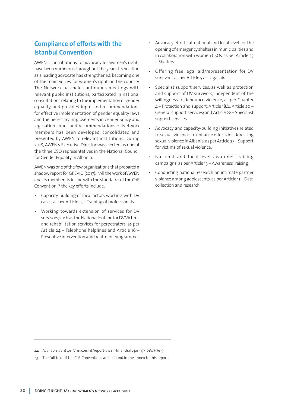#### **Compliance of efforts with the Istanbul Convention**

AWEN's contributions to advocacy for women's rights have been numerous throughout the years. Its position as a leading advocate has strengthened, becoming one of the main voices for women's rights in the country. The Network has held continuous meetings with relevant public institutions, participated in national consultations relating to the implementation of gender equality, and provided input and recommendations for effective implementation of gender equality laws and the necessary improvements in gender policy and legislation. Input and recommendations of Network members has been developed, consolidated and presented by AWEN to relevant institutions. During 2018, AWEN's Executive Director was elected as one of the three CSO representatives in the National Council for Gender Equality in Albania.

AWEN was one of the few organizations that prepared a shadow report for GREVIO (2017).<sup>22</sup> All the work of AWEN and its members is in line with the standards of the CoE Convention;<sup>23</sup> the key efforts include:

- Capacity-building of local actors working with DV cases, as per Article 15 – Training of professionals
- Working towards extension of services for DV survivors, such as the National Hotline for DV Victims and rehabilitation services for perpetrators, as per Article 24 – Telephone helplines and Article 16 – Preventive intervention and treatment programmes
- Advocacy efforts at national and local level for the opening of emergency shelters in municipalities and in collaboration with women CSOs, as per Article 23 – Shelters
- Offering free legal aid/representation for DV survivors, as per Article 57 – Legal aid
- Specialist support services, as well as protection and support of DV survivors, independent of the willingness to denounce violence, as per Chapter 4 – Protection and support, Article 18/4; Article 20 – General support services; and Article 22 – Specialist support services
- Advocacy and capacity-building initiatives related to sexual violence, to enhance efforts in addressing sexual violence in Albania, as per Article 25 – Support for victims of sexual violence;
- National and local-level awareness-raising campaigns, as per Article 13 – Awareness raising
- Conducting national research on intimate partner violence among adolescents, as per Article 11 – Data collection and research

23. The full text of the CoE Convention can be found in the annex to this report.

<sup>22.</sup> Available at https://rm.coe.int/report-awen-final-draft-jan-17/1680717e19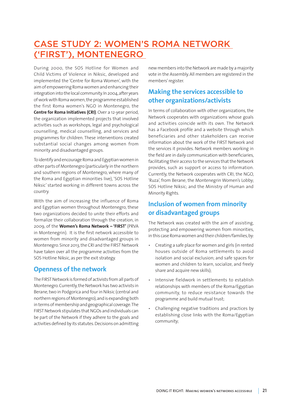### CASE STUDY 2: WOMEN'S ROMA NETWORK ('FIRST'), MONTENEGRO

During 2000, the SOS Hotline for Women and Child Victims of Violence in Niksic, developed and implemented the 'Centre for Roma Women', with the aim of empowering Roma women and enhancing their integration into the local community. In 2004, after years of work with Roma women, the programme established the first Roma women's NGO in Montenegro, the **Centre for Roma Initiatives (CRI)**. Over a 12-year period, the organization implemented projects that involved activities such as workshops, legal and psychological counselling, medical counselling, and services and programmes for children. These interventions created substantial social changes among women from minority and disadvantaged groups.

To identify and encourage Roma and Egyptian women in other parts of Montenegro (particularly in the northern and southern regions of Montenegro, where many of the Roma and Egyptian minorities live), 'SOS Hotline Niksic' started working in different towns across the country.

With the aim of increasing the influence of Roma and Egyptian women throughout Montenegro, these two organizations decided to unite their efforts and formalize their collaboration through the creation, in 2009, of the **Women's Roma Network – 'FIRST'** (PRVA in Montenegrin). It is the first network accessible to women from minority and disadvantaged groups in Montenegro. Since 2013, the CRI and the FIRST Network have taken over all the programme activities from the SOS Hotline Niksic, as per the exit strategy.

#### **Openness of the network**

The FIRST Network is formed of activists from all parts of Montenegro. Currently, the Network has two activists in Berane, two in Podgorica and four in Niksic (central and northern regions of Montenegro), and is expanding both in terms of membership and geographical coverage. The FIRST Network stipulates that NGOs and individuals can be part of the Network if they adhere to the goals and activities defined by its statutes. Decisions on admitting

new members into the Network are made by a majority vote in the Assembly. All members are registered in the members' register.

#### **Making the services accessible to other organizations/activists**

In terms of collaboration with other organizations, the Network cooperates with organizations whose goals and activities coincide with its own. The Network has a Facebook profile and a website through which beneficiaries and other stakeholders can receive information about the work of the FIRST Network and the services it provides. Network members working in the field are in daily communication with beneficiaries, facilitating their access to the services that the Network provides, such as support or access to information. Currently, the Network cooperates with CRI; the NGO, 'Ruza', from Berane; the Montenegrin Women's Lobby; SOS Hotline Niksic; and the Ministry of Human and Minority Rights.

#### **Inclusion of women from minority or disadvantaged groups**

The Network was created with the aim of assisting, protecting and empowering women from minorities, in this case Roma women and their children/families, by:

- Creating a safe place for women and girls (in rented houses outside of Roma settlements to avoid isolation and social exclusion; and safe spaces for women and children to learn, socialize, and freely share and acquire new skills);
- Intensive fieldwork in settlements to establish relationships with members of the Roma/Egyptian community, to reduce resistance towards the programme and build mutual trust;
- Challenging negative traditions and practices by establishing close links with the Roma/Egyptian community;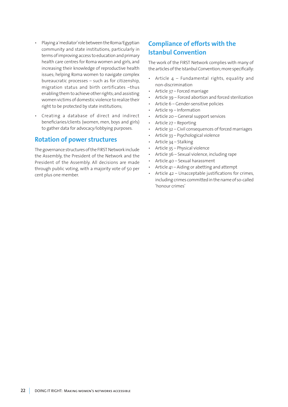- Playing a 'mediator' role between the Roma/Egyptian community and state institutions, particularly in terms of improving access to education and primary health care centres for Roma women and girls, and increasing their knowledge of reproductive health issues; helping Roma women to navigate complex bureaucratic processes – such as for citizenship, migration status and birth certificates –thus enabling them to achieve other rights; and assisting women victims of domestic violence to realize their right to be protected by state institutions;
- Creating a database of direct and indirect beneficiaries/clients (women, men, boys and girls) to gather data for advocacy/lobbying purposes.

#### **Rotation of power structures**

The governance structures of the FIRST Network include the Assembly, the President of the Network and the President of the Assembly. All decisions are made through public voting, with a majority vote of 50 per cent plus one member.

#### **Compliance of efforts with the Istanbul Convention**

The work of the FIRST Network complies with many of the articles of the Istanbul Convention; more specifically:

- Article  $4$  Fundamental rights, equality and non-discrimination
- Article 37 Forced marriage
- Article 39 Forced abortion and forced sterilization
- Article 6 Gender-sensitive policies
- Article 19 Information
- Article 20 General support services
- Article 27 Reporting
- Article 32 Civil consequences of forced marriages
- Article 33 Psychological violence
- Article 34 Stalking
- Article 35 Physical violence
- Article 36 Sexual violence, including rape
- Article 40 Sexual harassment
- Article 41 Aiding or abetting and attempt
- Article 42 Unacceptable justifications for crimes, including crimes committed in the name of so-called 'honour crimes'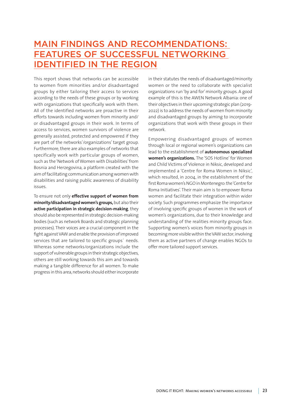### MAIN FINDINGS AND RECOMMENDATIONS: FEATURES OF SUCCESSFUL NETWORKING IDENTIFIED IN THE REGION

This report shows that networks can be accessible to women from minorities and/or disadvantaged groups by either tailoring their access to services according to the needs of these groups or by working with organizations that specifically work with them. All of the identified networks are proactive in their efforts towards including women from minority and/ or disadvantaged groups in their work. In terms of access to services, women survivors of violence are generally assisted, protected and empowered if they are part of the networks'/organizations' target group. Furthermore, there are also examples of networks that specifically work with particular groups of women, such as the 'Network of Women with Disabilities' from Bosnia and Herzegovina, a platform created with the aim of facilitating communication among women with disabilities and raising public awareness of disability issues.

To ensure not only **effective support of women from minority/disadvantaged women's groups,** but also their **active participation in strategic decision-making**, they should also be represented in strategic decision-making bodies (such as network Boards and strategic planning processes). Their voices are a crucial component in the fight against VAW and enable the provision of improved services that are tailored to specific groups´ needs. Whereas some networks/organizations include the support of vulnerable groups in their strategic objectives, others are still working towards this aim and towards making a tangible difference for all women. To make progress in this area, networks should either incorporate

in their statutes the needs of disadvantaged/minority women or the need to collaborate with specialist organizations run 'by and for' minority groups. A good example of this is the AWEN Network Albania: one of their objectives in their upcoming strategic plan (2019- 2022) is to address the needs of women from minority and disadvantaged groups by aiming to incorporate organizations that work with these groups in their network.

Empowering disadvantaged groups of women through local or regional women's organizations can lead to the establishment of **autonomous specialized women's organizations.** The 'SOS Hotline' for Women and Child Victims of Violence in Niksic, developed and implemented a 'Centre for Roma Women in Niksic', which resulted, in 2004, in the establishment of the first Roma women's NGO in Montenegro: the 'Centre for Roma Initiatives'. Their main aim is to empower Roma women and facilitate their integration within wider society. Such programmes emphasize the importance of involving specific groups of women in the work of women's organizations, due to their knowledge and understanding of the realities minority groups face. Supporting women's voices from minority groups in becoming more visible within the VAW sector; involving them as active partners of change enables NGOs to offer more tailored support services.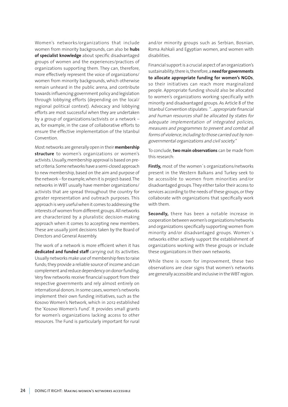Women's networks/organizations that include women from minority backgrounds, can also be **hubs of specialist knowledge** about specific disadvantaged groups of women and the experiences/practices of organizations supporting them. They can, therefore, more effectively represent the voice of organizations/ women from minority backgrounds, which otherwise remain unheard in the public arena, and contribute towards influencing government policy and legislation through lobbying efforts (depending on the local/ regional political context). Advocacy and lobbying efforts are most successful when they are undertaken by a group of organizations/activists or a network – as, for example, in the case of collaborative efforts to ensure the effective implementation of the Istanbul Convention.

Most networks are generally open in their **membership structure** to women's organizations or women's activists. Usually, membership approval is based on preset criteria. Some networks have a semi-closed approach to new membership, based on the aim and purpose of the network – for example, when it is project-based. The networks in WBT usually have member organizations/ activists that are spread throughout the country for greater representation and outreach purposes. This approach is very useful when it comes to addressing the interests of women from different groups. All networks are characterized by a pluralistic decision-making approach when it comes to accepting new members. These are usually joint decisions taken by the Board of Directors and General Assembly.

The work of a network is more efficient when it has **dedicated and funded staff** carrying out its activities. Usually networks make use of membership fees to raise funds; they provide a reliable source of income and can complement and reduce dependency on donor funding. Very few networks receive financial support from their respective governments and rely almost entirely on international donors. In some cases, women's networks implement their own funding initiatives, such as the Kosovo Women's Network, which in 2012 established the 'Kosovo Women's Fund'. It provides small grants for women's organizations lacking access to other resources. The Fund is particularly important for rural and/or minority groups such as Serbian, Bosnian, Roma Ashkali and Egyptian women, and women with disabilities.

Financial support is a crucial aspect of an organization's sustainability; there is, therefore, a **need for governments to allocate appropriate funding for women's NGOs**, so their initiatives can reach more marginalized people. Appropriate funding should also be allocated to women's organizations working specifically with minority and disadvantaged groups. As Article 8 of the Istanbul Convention stipulates: "…appropriate financial and human resources shall be allocated by states for adequate implementation of integrated policies, measures and programmes to prevent and combat all forms of violence, including to those carried out by nongovernmental organizations and civil society."

To conclude, **two main observations** can be made from this research:

**Firstly,** most of the women´s organizations/networks present in the Western Balkans and Turkey seek to be accessible to women from minorities and/or disadvantaged groups. They either tailor their access to services according to the needs of these groups, or they collaborate with organizations that specifically work with them.

**Secondly,** there has been a notable increase in cooperation between women's organizations/networks and organizations specifically supporting women from minority and/or disadvantaged groups. Women´s networks either actively support the establishment of organizations working with these groups or include these organizations in their own networks.

While there is room for improvement, these two observations are clear signs that women's networks are generally accessible and inclusive in the WBT region.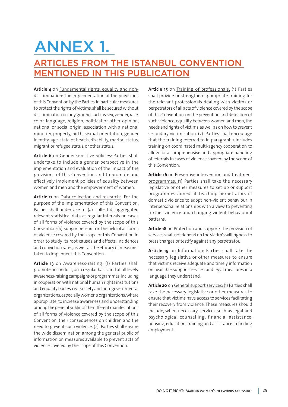### ANNEX 1.

### ARTICLES FROM THE ISTANBUL CONVENTION MENTIONED IN THIS PUBLICATION

**Article 4** on Fundamental rights, equality and nondiscrimination: The implementation of the provisions of this Convention by the Parties, in particular measures to protect the rights of victims, shall be secured without discrimination on any ground such as sex, gender, race, color, language, religion, political or other opinion, national or social origin, association with a national minority, property, birth, sexual orientation, gender identity, age, state of health, disability, marital status, migrant or refugee status, or other status.

**Article 6** on Gender-sensitive policies: Parties shall undertake to include a gender perspective in the implementation and evaluation of the impact of the provisions of this Convention and to promote and effectively implement policies of equality between women and men and the empowerment of women.

**Article 11** on Data collection and research: For the purpose of the implementation of this Convention, Parties shall undertake to: (a) collect disaggregated relevant statistical data at regular intervals on cases of all forms of violence covered by the scope of this Convention; (b) support research in the field of all forms of violence covered by the scope of this Convention in order to study its root causes and effects, incidences and conviction rates, as well as the efficacy of measures taken to implement this Convention.

**Article 13** on Awareness-raising: (1) Parties shall promote or conduct, on a regular basis and at all levels, awareness-raising campaigns or programmes, including in cooperation with national human rights institutions and equality bodies, civil society and non-governmental organizations, especially women's organizations, where appropriate, to increase awareness and understanding among the general public of the different manifestations of all forms of violence covered by the scope of this Convention, their consequences on children and the need to prevent such violence. (2) Parties shall ensure the wide dissemination among the general public of information on measures available to prevent acts of violence covered by the scope of this Convention.

**Article 15** on Training of professionals: (1) Parties shall provide or strengthen appropriate training for the relevant professionals dealing with victims or perpetrators of all acts of violence covered by the scope of this Convention, on the prevention and detection of such violence, equality between women and men, the needs and rights of victims, as well as on how to prevent secondary victimization. (2) Parties shall encourage that the training referred to in paragraph 1 includes training on coordinated multi-agency cooperation to allow for a comprehensive and appropriate handling of referrals in cases of violence covered by the scope of this Convention.

**Article 16** on Preventive intervention and treatment programmes: (1) Parties shall take the necessary legislative or other measures to set up or support programmes aimed at teaching perpetrators of domestic violence to adopt non-violent behaviour in interpersonal relationships with a view to preventing further violence and changing violent behavioural patterns.

**Article 18** on Protection and support: The provision of services shall not depend on the victim's willingness to press charges or testify against any perpetrator.

**Article 19** on Information: Parties shall take the necessary legislative or other measures to ensure that victims receive adequate and timely information on available support services and legal measures in a language they understand.

**Article 20** on General support services: (1) Parties shall take the necessary legislative or other measures to ensure that victims have access to services facilitating their recovery from violence. These measures should include, when necessary, services such as legal and psychological counselling, financial assistance, housing, education, training and assistance in finding employment.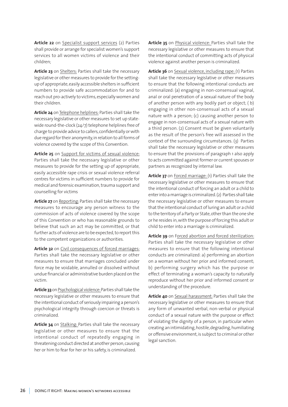Article 22 on Specialist support services (2) Parties shall provide or arrange for specialist women's support services to all women victims of violence and their children;

**Article 23** on Shelters: Parties shall take the necessary legislative or other measures to provide for the settingup of appropriate, easily accessible shelters in sufficient numbers to provide safe accommodation for and to reach out pro-actively to victims, especially women and their children.

**Article 24** on Telephone helplines: Parties shall take the necessary legislative or other measures to set up statewide round-the-clock (24/7) telephone helplines free of charge to provide advice to callers, confidentially or with due regard for their anonymity, in relation to all forms of violence covered by the scope of this Convention.

**Article 25** on Support for victims of sexual violence: Parties shall take the necessary legislative or other measures to provide for the setting up of appropriate, easily accessible rape crisis or sexual violence referral centres for victims in sufficient numbers to provide for medical and forensic examination, trauma support and counselling for victims

**Article 27** on Reporting: Parties shall take the necessary measures to encourage any person witness to the commission of acts of violence covered by the scope of this Convention or who has reasonable grounds to believe that such an act may be committed, or that further acts of violence are to be expected, to report this to the competent organizations or authorities.

**Article 32** on Civil consequences of forced marriages: Parties shall take the necessary legislative or other measures to ensure that marriages concluded under force may be voidable, annulled or dissolved without undue financial or administrative burden placed on the victim.

**Article 33** on Psychological violence: Parties shall take the necessary legislative or other measures to ensure that the intentional conduct of seriously impairing a person's psychological integrity through coercion or threats is criminalized.

**Article 34** on Stalking: Parties shall take the necessary legislative or other measures to ensure that the intentional conduct of repeatedly engaging in threatening conduct directed at another person, causing her or him to fear for her or his safety, is criminalized.

**Article 35** on Physical violence: Parties shall take the necessary legislative or other measures to ensure that the intentional conduct of committing acts of physical violence against another person is criminalized.

**Article 36** on Sexual violence, including rape: (1) Parties shall take the necessary legislative or other measures to ensure that the following intentional conducts are criminalized: (a) engaging in non-consensual vaginal, anal or oral penetration of a sexual nature of the body of another person with any bodily part or object; ( b) engaging in other non-consensual acts of a sexual nature with a person; (c) causing another person to engage in non-consensual acts of a sexual nature with a third person. (2) Consent must be given voluntarily as the result of the person's free will assessed in the context of the surrounding circumstances. (3) Parties shall take the necessary legislative or other measures to ensure that the provisions of paragraph 1 also apply to acts committed against former or current spouses or partners as recognized by internal law.

**Article 37** on Forced marriage: (1) Parties shall take the necessary legislative or other measures to ensure that the intentional conduct of forcing an adult or a child to enter into a marriage is criminalized. (2) Parties shall take the necessary legislative or other measures to ensure that the intentional conduct of luring an adult or a child to the territory of a Party or State, other than the one she or he resides in, with the purpose of forcing this adult or child to enter into a marriage is criminalized.

**Article 39** on Forced abortion and forced sterilization: Parties shall take the necessary legislative or other measures to ensure that the following intentional conducts are criminalized: a) performing an abortion on a woman without her prior and informed consent; b) performing surgery which has the purpose or effect of terminating a woman's capacity to naturally reproduce without her prior and informed consent or understanding of the procedure.

**Article 40** on Sexual harassment: Parties shall take the necessary legislative or other measures to ensure that any form of unwanted verbal, non-verbal or physical conduct of a sexual nature with the purpose or effect of violating the dignity of a person, in particular when creating an intimidating, hostile, degrading, humiliating or offensive environment, is subject to criminal or other legal sanction.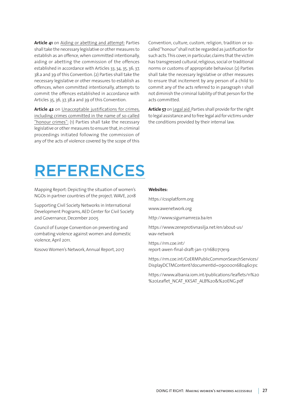**Article 41** on Aiding or abetting and attempt: Parties shall take the necessary legislative or other measures to establish as an offence, when committed intentionally, aiding or abetting the commission of the offences established in accordance with Articles 33, 34, 35, 36, 37, 38.a and 39 of this Convention. (2) Parties shall take the necessary legislative or other measures to establish as offences, when committed intentionally, attempts to commit the offences established in accordance with Articles 35, 36, 37, 38.a and 39 of this Convention.

**Article 42** on Unacceptable justifications for crimes, including crimes committed in the name of so-called "honour crimes": (1) Parties shall take the necessary legislative or other measures to ensure that, in criminal proceedings initiated following the commission of any of the acts of violence covered by the scope of this

Convention, culture, custom, religion, tradition or socalled "honour" shall not be regarded as justification for such acts. This cover, in particular, claims that the victim has transgressed cultural, religious, social or traditional norms or customs of appropriate behaviour. (2) Parties shall take the necessary legislative or other measures to ensure that incitement by any person of a child to commit any of the acts referred to in paragraph 1 shall not diminish the criminal liability of that person for the acts committed.

**Article 57** on Legal aid: Parties shall provide for the right to legal assistance and to free legal aid for victims under the conditions provided by their internal law.

### REFERENCES

Mapping Report: Depicting the situation of women's NGOs in partner countries of the project. WAVE, 2018

Supporting Civil Society Networks in International Development Programs, AED Center for Civil Society and Governance, December 2005

Council of Europe Convention on preventing and combating violence against women and domestic violence, April 2011.

Kosovo Women's Network, Annual Report, 2017

#### **Websites:**

[https://cssplatform.org](https://cssplatform.org ) 

[www.awenetwork.org](http://www.awenetwork.org)

<http://www.sigurnamreza.ba/en>

[https://www.zeneprotivnasilja.net/en/about-us/](https://www.zeneprotivnasilja.net/en/about-us/wav-network) [wav-network](https://www.zeneprotivnasilja.net/en/about-us/wav-network)

[https://rm.coe.int/](https://rm.coe.int/report-awen-final-draft-jan-17/1680717e19) [report-awen-final-draft-jan-17/1680717e19](https://rm.coe.int/report-awen-final-draft-jan-17/1680717e19)

[https://rm.coe.int/CoERMPublicCommonSearchServices/](https://rm.coe.int/CoERMPublicCommonSearchServices/DisplayDCTMContent?documentId=090000168046031c) [DisplayDCTMContent?documentId=090000168046031c](https://rm.coe.int/CoERMPublicCommonSearchServices/DisplayDCTMContent?documentId=090000168046031c)

[https://www.albania.iom.int/publications/leaflets/11%20](https://www.albania.iom.int/publications/leaflets/11%20%20Leaflet_NCAT_KKSAT_ALB%20&%20ENG.pdf) [%20Leaflet\\_NCAT\\_KKSAT\\_ALB%20&%20ENG.pdf](https://www.albania.iom.int/publications/leaflets/11%20%20Leaflet_NCAT_KKSAT_ALB%20&%20ENG.pdf)